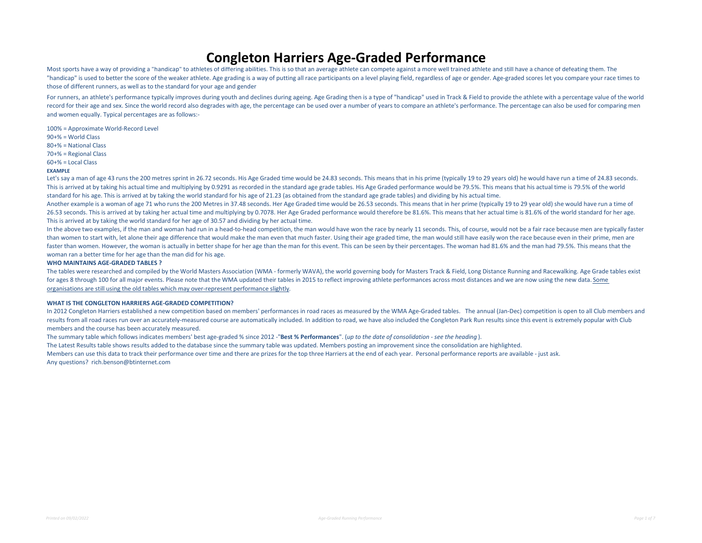#### Congleton Harriers Age-Graded Performance

Most sports have a way of providing a "handicap" to athletes of differing abilities. This is so that an average athlete can compete against a more well trained athlete and still have a chance of defeating them. The "handicap" is used to better the score of the weaker athlete. Age grading is a way of putting all race participants on a level playing field, regardless of age or gender. Age-graded scores let you compare your race times to those of different runners, as well as to the standard for your age and gender

For runners, an athlete's performance typically improves during youth and declines during ageing. Age Grading then is a type of "handicap" used in Track & Field to provide the athlete with a percentage value of the world record for their age and sex. Since the world record also degrades with age, the percentage can be used over a number of years to compare an athlete's performance. The percentage can also be used for comparing men and women equally. Typical percentages are as follows:-

100% = Approximate World-Record Level 90+% = World Class 80+% = National Class 70+% = Regional Class 60+% = Local Class

#### EXAMPLE

Let's say a man of age 43 runs the 200 metres sprint in 26.72 seconds. His Age Graded time would be 24.83 seconds. This means that in his prime (typically 19 to 29 years old) he would have run a time of 24.83 seconds. This is arrived at by taking his actual time and multiplying by 0.9291 as recorded in the standard age grade tables. His Age Graded performance would be 79.5%. This means that his actual time is 79.5% of the world standard for his age. This is arrived at by taking the world standard for his age of 21.23 (as obtained from the standard age grade tables) and dividing by his actual time.

Another example is a woman of age 71 who runs the 200 Metres in 37.48 seconds. Her Age Graded time would be 26.53 seconds. This means that in her prime (typically 19 to 29 year old) she would have run a time of 26.53 seconds. This is arrived at by taking her actual time and multiplying by 0.7078. Her Age Graded performance would therefore be 81.6%. This means that her actual time is 81.6% of the world standard for her age. This is arrived at by taking the world standard for her age of 30.57 and dividing by her actual time.

In the above two examples, if the man and woman had run in a head-to-head competition, the man would have won the race by nearly 11 seconds. This, of course, would not be a fair race because men are typically faster than women to start with, let alone their age difference that would make the man even that much faster. Using their age graded time, the man would still have easily won the race because even in their prime, men are faster than women. However, the woman is actually in better shape for her age than the man for this event. This can be seen by their percentages. The woman had 81.6% and the man had 79.5%. This means that the woman ran a better time for her age than the man did for his age.

#### WHO MAINTAINS AGE-GRADED TABLES ?

The tables were researched and compiled by the World Masters Association (WMA - formerly WAVA), the world governing body for Masters Track & Field, Long Distance Running and Racewalking. Age Grade tables exist for ages 8 through 100 for all major events. Please note that the WMA updated their tables in 2015 to reflect improving athlete performances across most distances and we are now using the new data. Some organisations are still using the old tables which may over-represent performance slightly.

#### WHAT IS THE CONGLETON HARRIERS AGE-GRADED COMPETITION?

In 2012 Congleton Harriers established a new competition based on members' performances in road races as measured by the WMA Age-Graded tables. The annual (Jan-Dec) competition is open to all Club members and results from all road races run over an accurately-measured course are automatically included. In addition to road, we have also included the Congleton Park Run results since this event is extremely popular with Club members and the course has been accurately measured.

The summary table which follows indicates members' best age-graded % since 2012 -"Best % Performances". (up to the date of consolidation - see the heading).

The Latest Results table shows results added to the database since the summary table was updated. Members posting an improvement since the consolidation are highlighted.

Members can use this data to track their performance over time and there are prizes for the top three Harriers at the end of each year. Personal performance reports are available - just ask. Any questions? rich.benson@btinternet.com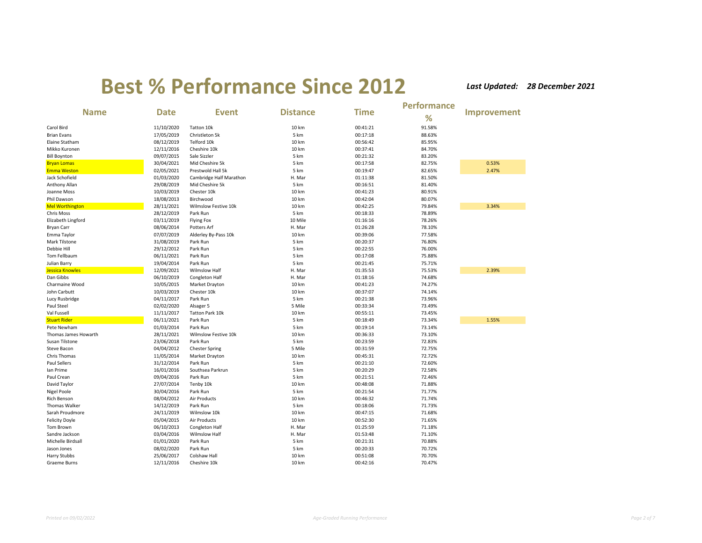|                              |             |                         |                 |             | <b>Performance</b> |                    |
|------------------------------|-------------|-------------------------|-----------------|-------------|--------------------|--------------------|
| <b>Name</b>                  | <b>Date</b> | <b>Event</b>            | <b>Distance</b> | <b>Time</b> | %                  | <b>Improvement</b> |
| Carol Bird                   | 11/10/2020  | Tatton 10k              | 10 km           | 00:41:21    | 91.58%             |                    |
| <b>Brian Evans</b>           | 17/05/2019  | Christleton 5k          | 5 km            | 00:17:18    | 88.63%             |                    |
| Elaine Statham               | 08/12/2019  | Telford 10k             | 10 km           | 00:56:42    | 85.95%             |                    |
| Mikko Kuronen                | 12/11/2016  | Cheshire 10k            | 10 km           | 00:37:41    | 84.70%             |                    |
| <b>Bill Boynton</b>          | 09/07/2015  | Sale Sizzler            | 5 km            | 00:21:32    | 83.20%             |                    |
| <b>Bryan Lomas</b>           | 30/04/2021  | Mid Cheshire 5k         | 5 km            | 00:17:58    | 82.75%             | 0.53%              |
| <b>Emma Weston</b>           | 02/05/2021  | Prestwold Hall 5k       | 5 km            | 00:19:47    | 82.65%             | 2.47%              |
| Jack Schofield               | 01/03/2020  | Cambridge Half Marathon | H. Mar          | 01:11:38    | 81.50%             |                    |
| Anthony Allan                | 29/08/2019  | Mid Cheshire 5k         | 5 km            | 00:16:51    | 81.40%             |                    |
| Joanne Moss                  | 10/03/2019  | Chester 10k             | 10 km           | 00:41:23    | 80.91%             |                    |
| Phil Dawson                  | 18/08/2013  | Birchwood               | 10 km           | 00:42:04    | 80.07%             |                    |
| <b>Mel Worthington</b>       | 28/11/2021  | Wilmslow Festive 10k    | 10 km           | 00:42:25    | 79.84%             | 3.34%              |
| Chris Moss                   | 28/12/2019  | Park Run                | 5 km            | 00:18:33    | 78.89%             |                    |
| Elizabeth Lingford           | 03/11/2019  | <b>Flying Fox</b>       | 10 Mile         | 01:16:16    | 78.26%             |                    |
| <b>Bryan Carr</b>            | 08/06/2014  | Potters Arf             | H. Mar          | 01:26:28    | 78.10%             |                    |
| Emma Taylor                  | 07/07/2019  | Alderley By-Pass 10k    | 10 km           | 00:39:06    | 77.58%             |                    |
| Mark Tilstone                | 31/08/2019  | Park Run                | 5 km            | 00:20:37    | 76.80%             |                    |
| Debbie Hill                  | 29/12/2012  | Park Run                | 5 km            | 00:22:55    | 76.00%             |                    |
| Tom Fellbaum                 | 06/11/2021  | Park Run                | 5 km            | 00:17:08    | 75.88%             |                    |
| Julian Barry                 | 19/04/2014  | Park Run                | 5 km            | 00:21:45    | 75.71%             |                    |
| <b>Jessica Knowles</b>       | 12/09/2021  | <b>Wilmslow Half</b>    | H. Mar          | 01:35:53    | 75.53%             | 2.39%              |
| Dan Gibbs                    | 06/10/2019  | Congleton Half          | H. Mar          | 01:18:16    | 74.68%             |                    |
| Charmaine Wood               | 10/05/2015  | Market Drayton          | 10 km           | 00:41:23    | 74.27%             |                    |
| John Carbutt                 | 10/03/2019  | Chester 10k             | 10 km           | 00:37:07    | 74.14%             |                    |
|                              | 04/11/2017  | Park Run                | 5 km            | 00:21:38    | 73.96%             |                    |
| Lucy Rusbridge<br>Paul Steel | 02/02/2020  | Alsager 5               | 5 Mile          | 00:33:34    | 73.49%             |                    |
| Val Fussell                  | 11/11/2017  |                         |                 | 00:55:11    | 73.45%             |                    |
|                              |             | Tatton Park 10k         | 10 km           |             |                    |                    |
| <b>Stuart Rider</b>          | 06/11/2021  | Park Run                | 5 km            | 00:18:49    | 73.34%             | 1.55%              |
| Pete Newham                  | 01/03/2014  | Park Run                | 5 km            | 00:19:14    | 73.14%             |                    |
| Thomas James Howarth         | 28/11/2021  | Wilmslow Festive 10k    | 10 km           | 00:36:33    | 73.10%             |                    |
| Susan Tilstone               | 23/06/2018  | Park Run                | 5 km            | 00:23:59    | 72.83%             |                    |
| Steve Bacon                  | 04/04/2012  | <b>Chester Spring</b>   | 5 Mile          | 00:31:59    | 72.75%             |                    |
| Chris Thomas                 | 11/05/2014  | Market Drayton          | 10 km           | 00:45:31    | 72.72%             |                    |
| <b>Paul Sellers</b>          | 31/12/2014  | Park Run                | 5 km            | 00:21:10    | 72.60%             |                    |
| Ian Prime                    | 16/01/2016  | Southsea Parkrun        | 5 km            | 00:20:29    | 72.58%             |                    |
| Paul Crean                   | 09/04/2016  | Park Run                | 5 km            | 00:21:51    | 72.46%             |                    |
| David Taylor                 | 27/07/2014  | Tenby 10k               | 10 km           | 00:48:08    | 71.88%             |                    |
| Nigel Poole                  | 30/04/2016  | Park Run                | 5 km            | 00:21:54    | 71.77%             |                    |
| <b>Rich Benson</b>           | 08/04/2012  | Air Products            | 10 km           | 00:46:32    | 71.74%             |                    |
| Thomas Walker                | 14/12/2019  | Park Run                | 5 km            | 00:18:06    | 71.73%             |                    |
| Sarah Proudmore              | 24/11/2019  | Wilmslow 10k            | 10 km           | 00:47:15    | 71.68%             |                    |
| <b>Felicity Doyle</b>        | 05/04/2015  | Air Products            | 10 km           | 00:52:30    | 71.65%             |                    |
| Tom Brown                    | 06/10/2013  | Congleton Half          | H. Mar          | 01:25:59    | 71.18%             |                    |
| Sandre Jackson               | 03/04/2016  | <b>Wilmslow Half</b>    | H. Mar          | 01:53:48    | 71.10%             |                    |
| Michelle Birdsall            | 01/01/2020  | Park Run                | 5 km            | 00:21:31    | 70.88%             |                    |
| Jason Jones                  | 08/02/2020  | Park Run                | 5 km            | 00:20:33    | 70.72%             |                    |
| Harry Stubbs                 | 25/06/2017  | Colshaw Hall            | 10 km           | 00:51:08    | 70.70%             |                    |
| <b>Graeme Burns</b>          | 12/11/2016  | Cheshire 10k            | 10 km           | 00:42:16    | 70.47%             |                    |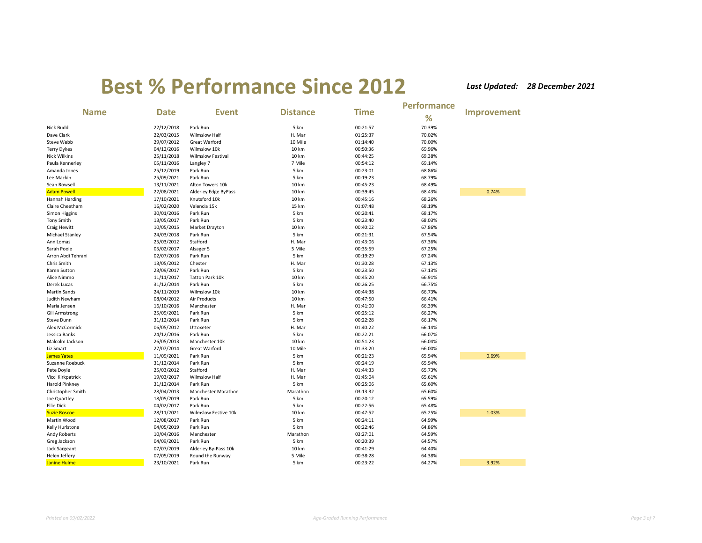|                       |             |                          |                 |             | <b>Performance</b> |             |
|-----------------------|-------------|--------------------------|-----------------|-------------|--------------------|-------------|
| <b>Name</b>           | <b>Date</b> | <b>Event</b>             | <b>Distance</b> | <b>Time</b> | %                  | Improvement |
| Nick Budd             | 22/12/2018  | Park Run                 | 5 km            | 00:21:57    | 70.39%             |             |
| Dave Clark            | 22/03/2015  | <b>Wilmslow Half</b>     | H. Mar          | 01:25:37    | 70.02%             |             |
| Steve Webb            | 29/07/2012  | Great Warford            | 10 Mile         | 01:14:40    | 70.00%             |             |
| <b>Terry Dykes</b>    | 04/12/2016  | Wilmslow 10k             | 10 km           | 00:50:36    | 69.96%             |             |
| <b>Nick Wilkins</b>   | 25/11/2018  | <b>Wilmslow Festival</b> | 10 km           | 00:44:25    | 69.38%             |             |
| Paula Kennerley       | 05/11/2016  | Langley 7                | 7 Mile          | 00:54:12    | 69.14%             |             |
| Amanda Jones          | 25/12/2019  | Park Run                 | 5 km            | 00:23:01    | 68.86%             |             |
| Lee Mackin            | 25/09/2021  | Park Run                 | 5 km            | 00:19:23    | 68.79%             |             |
| Sean Rowsell          | 13/11/2021  | Alton Towers 10k         | 10 km           | 00:45:23    | 68.49%             |             |
| <b>Adam Powell</b>    | 22/08/2021  | Alderley Edge ByPass     | 10 km           | 00:39:45    | 68.43%             | 0.74%       |
| Hannah Harding        | 17/10/2021  | Knutsford 10k            | 10 km           | 00:45:16    | 68.26%             |             |
| Claire Cheetham       | 16/02/2020  | Valencia 15k             | 15 km           | 01:07:48    | 68.19%             |             |
| Simon Higgins         | 30/01/2016  | Park Run                 | 5 km            | 00:20:41    | 68.17%             |             |
| <b>Tony Smith</b>     | 13/05/2017  | Park Run                 | 5 km            | 00:23:40    | 68.03%             |             |
| Craig Hewitt          | 10/05/2015  | Market Drayton           | 10 km           | 00:40:02    | 67.86%             |             |
| Michael Stanley       | 24/03/2018  | Park Run                 | 5 km            | 00:21:31    | 67.54%             |             |
| Ann Lomas             | 25/03/2012  | Stafford                 | H. Mar          | 01:43:06    | 67.36%             |             |
| Sarah Poole           | 05/02/2017  | Alsager 5                | 5 Mile          | 00:35:59    | 67.25%             |             |
| Arron Abdi Tehrani    | 02/07/2016  | Park Run                 | 5 km            | 00:19:29    | 67.24%             |             |
| Chris Smith           | 13/05/2012  | Chester                  | H. Mar          | 01:30:28    | 67.13%             |             |
| Karen Sutton          | 23/09/2017  | Park Run                 | 5 km            | 00:23:50    | 67.13%             |             |
| Alice Nimmo           | 11/11/2017  | Tatton Park 10k          | 10 km           | 00:45:20    | 66.91%             |             |
| Derek Lucas           | 31/12/2014  | Park Run                 | 5 km            | 00:26:25    | 66.75%             |             |
| <b>Martin Sands</b>   | 24/11/2019  | Wilmslow 10k             | 10 km           | 00:44:38    | 66.73%             |             |
| Judith Newham         | 08/04/2012  | Air Products             | 10 km           | 00:47:50    | 66.41%             |             |
| Maria Jensen          | 16/10/2016  | Manchester               | H. Mar          | 01:41:00    | 66.39%             |             |
| <b>Gill Armstrong</b> | 25/09/2021  | Park Run                 | 5 km            | 00:25:12    | 66.27%             |             |
| Steve Dunn            | 31/12/2014  | Park Run                 | 5 km            | 00:22:28    | 66.17%             |             |
| Alex McCormick        | 06/05/2012  | Uttoxeter                | H. Mar          | 01:40:22    | 66.14%             |             |
| Jessica Banks         | 24/12/2016  | Park Run                 | 5 km            | 00:22:21    | 66.07%             |             |
| Malcolm Jackson       | 26/05/2013  | Manchester 10k           | 10 km           | 00:51:23    | 66.04%             |             |
| Liz Smart             | 27/07/2014  | Great Warford            | 10 Mile         | 01:33:20    | 66.00%             |             |
| <b>James Yates</b>    | 11/09/2021  | Park Run                 | 5 km            | 00:21:23    | 65.94%             | 0.69%       |
| Suzanne Roebuck       | 31/12/2014  | Park Run                 | 5 km            | 00:24:19    | 65.94%             |             |
| Pete Doyle            | 25/03/2012  | Stafford                 | H. Mar          | 01:44:33    | 65.73%             |             |
| Vicci Kirkpatrick     | 19/03/2017  | <b>Wilmslow Half</b>     | H. Mar          | 01:45:04    | 65.61%             |             |
| <b>Harold Pinkney</b> | 31/12/2014  | Park Run                 | 5 km            | 00:25:06    | 65.60%             |             |
| Christopher Smith     | 28/04/2013  | Manchester Marathon      | Marathon        | 03:13:32    | 65.60%             |             |
| Joe Quartley          | 18/05/2019  | Park Run                 | 5 km            | 00:20:12    | 65.59%             |             |
| <b>Ellie Dick</b>     | 04/02/2017  | Park Run                 | 5 km            | 00:22:56    | 65.48%             |             |
| <b>Suzie Roscoe</b>   | 28/11/2021  | Wilmslow Festive 10k     | 10 km           | 00:47:52    | 65.25%             | 1.03%       |
| Martin Wood           | 12/08/2017  | Park Run                 | 5 km            | 00:24:11    | 64.99%             |             |
| Kelly Hurlstone       | 04/05/2019  | Park Run                 | 5 km            | 00:22:46    | 64.86%             |             |
| Andy Roberts          | 10/04/2016  | Manchester               | Marathon        | 03:27:01    | 64.59%             |             |
| Greg Jackson          | 04/09/2021  | Park Run                 | 5 km            | 00:20:39    | 64.57%             |             |
| Jack Sargeant         | 07/07/2019  | Alderley By-Pass 10k     | 10 km           | 00:41:29    | 64.40%             |             |
| Helen Jeffery         | 07/05/2019  | Round the Runway         | 5 Mile          | 00:38:28    | 64.38%             |             |
| <b>Janine Hulme</b>   | 23/10/2021  | Park Run                 | 5 km            | 00:23:22    | 64.27%             | 3.92%       |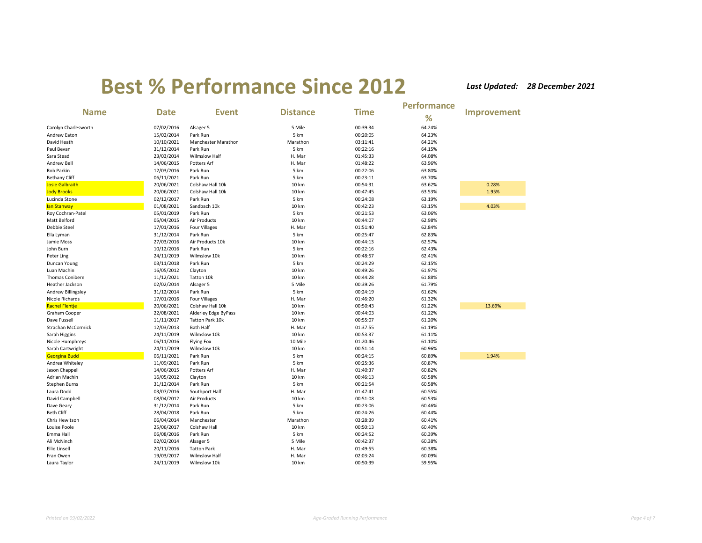|                           |             |                      |                 |             | <b>Performance</b> |                    |
|---------------------------|-------------|----------------------|-----------------|-------------|--------------------|--------------------|
| <b>Name</b>               | <b>Date</b> | <b>Event</b>         | <b>Distance</b> | <b>Time</b> | %                  | <b>Improvement</b> |
| Carolyn Charlesworth      | 07/02/2016  | Alsager 5            | 5 Mile          | 00:39:34    | 64.24%             |                    |
| Andrew Eaton              | 15/02/2014  | Park Run             | 5 km            | 00:20:05    | 64.23%             |                    |
| David Heath               | 10/10/2021  | Manchester Marathon  | Marathon        | 03:11:41    | 64.21%             |                    |
| Paul Bevan                | 31/12/2014  | Park Run             | 5 km            | 00:22:16    | 64.15%             |                    |
| Sara Stead                | 23/03/2014  | <b>Wilmslow Half</b> | H. Mar          | 01:45:33    | 64.08%             |                    |
| Andrew Bell               | 14/06/2015  | Potters Arf          | H. Mar          | 01:48:22    | 63.96%             |                    |
| Rob Parkin                | 12/03/2016  | Park Run             | 5 km            | 00:22:06    | 63.80%             |                    |
| <b>Bethany Cliff</b>      | 06/11/2021  | Park Run             | 5 km            | 00:23:11    | 63.70%             |                    |
| <b>Josie Galbraith</b>    | 20/06/2021  | Colshaw Hall 10k     | 10 km           | 00:54:31    | 63.62%             | 0.28%              |
| <b>Jody Brooks</b>        | 20/06/2021  | Colshaw Hall 10k     | 10 km           | 00:47:45    | 63.53%             | 1.95%              |
| Lucinda Stone             | 02/12/2017  | Park Run             | 5 km            | 00:24:08    | 63.19%             |                    |
| lan Stanway               | 01/08/2021  | Sandbach 10k         | 10 km           | 00:42:23    | 63.15%             | 4.03%              |
| Roy Cochran-Patel         | 05/01/2019  | Park Run             | 5 km            | 00:21:53    | 63.06%             |                    |
| Matt Belford              | 05/04/2015  | Air Products         | 10 km           | 00:44:07    | 62.98%             |                    |
| Debbie Steel              | 17/01/2016  | <b>Four Villages</b> | H. Mar          | 01:51:40    | 62.84%             |                    |
| Ella Lyman                | 31/12/2014  | Park Run             | 5 km            | 00:25:47    | 62.83%             |                    |
| Jamie Moss                | 27/03/2016  | Air Products 10k     | 10 km           | 00:44:13    | 62.57%             |                    |
| John Burn                 | 10/12/2016  | Park Run             | 5 km            | 00:22:16    | 62.43%             |                    |
| Peter Ling                | 24/11/2019  | Wilmslow 10k         | 10 km           | 00:48:57    | 62.41%             |                    |
| Duncan Young              | 03/11/2018  | Park Run             | 5 km            | 00:24:29    | 62.15%             |                    |
| Luan Machin               | 16/05/2012  | Clayton              | 10 km           | 00:49:26    | 61.97%             |                    |
| <b>Thomas Conibere</b>    | 11/12/2021  | Tatton 10k           | 10 km           | 00:44:28    | 61.88%             |                    |
| Heather Jackson           | 02/02/2014  | Alsager 5            | 5 Mile          | 00:39:26    | 61.79%             |                    |
| Andrew Billingsley        | 31/12/2014  | Park Run             | 5 km            | 00:24:19    | 61.62%             |                    |
| Nicole Richards           | 17/01/2016  | <b>Four Villages</b> | H. Mar          | 01:46:20    | 61.32%             |                    |
| <b>Rachel Flentje</b>     | 20/06/2021  | Colshaw Hall 10k     | 10 km           | 00:50:43    | 61.22%             | 13.69%             |
| Graham Cooper             | 22/08/2021  | Alderley Edge ByPass | 10 km           | 00:44:03    | 61.22%             |                    |
| Dave Fussell              | 11/11/2017  | Tatton Park 10k      | 10 km           | 00:55:07    | 61.20%             |                    |
| <b>Strachan McCormick</b> | 12/03/2013  | Bath Half            | H. Mar          | 01:37:55    | 61.19%             |                    |
| Sarah Higgins             | 24/11/2019  | Wilmslow 10k         | 10 km           | 00:53:37    | 61.11%             |                    |
| Nicole Humphreys          | 06/11/2016  | <b>Flying Fox</b>    | 10 Mile         | 01:20:46    | 61.10%             |                    |
| Sarah Cartwright          | 24/11/2019  | Wilmslow 10k         | 10 km           | 00:51:14    | 60.96%             |                    |
| <b>Georgina Budd</b>      | 06/11/2021  | Park Run             | 5 km            | 00:24:15    | 60.89%             | 1.94%              |
| Andrea Whiteley           | 11/09/2021  | Park Run             | 5 km            | 00:25:36    | 60.87%             |                    |
| Jason Chappell            | 14/06/2015  | Potters Arf          | H. Mar          | 01:40:37    | 60.82%             |                    |
| Adrian Machin             | 16/05/2012  | Clayton              | 10 km           | 00:46:13    | 60.58%             |                    |
| Stephen Burns             | 31/12/2014  | Park Run             | 5 km            | 00:21:54    | 60.58%             |                    |
| Laura Dodd                | 03/07/2016  | Southport Half       | H. Mar          | 01:47:41    | 60.55%             |                    |
| David Campbell            | 08/04/2012  | Air Products         | 10 km           | 00:51:08    | 60.53%             |                    |
| Dave Geary                | 31/12/2014  | Park Run             | 5 km            | 00:23:06    | 60.46%             |                    |
| Beth Cliff                | 28/04/2018  | Park Run             | 5 km            | 00:24:26    | 60.44%             |                    |
| Chris Hewitson            | 06/04/2014  | Manchester           | Marathon        | 03:28:39    | 60.41%             |                    |
| Louise Poole              | 25/06/2017  | Colshaw Hall         | 10 km           | 00:50:13    | 60.40%             |                    |
| Emma Hall                 | 06/08/2016  | Park Run             | 5 km            | 00:24:52    | 60.39%             |                    |
| Ali McNinch               | 02/02/2014  | Alsager 5            | 5 Mile          | 00:42:37    | 60.38%             |                    |
| Ellie Linsell             | 20/11/2016  | <b>Tatton Park</b>   | H. Mar          | 01:49:55    | 60.38%             |                    |
| Fran Owen                 | 19/03/2017  | <b>Wilmslow Half</b> | H. Mar          | 02:03:24    | 60.09%             |                    |
| Laura Taylor              | 24/11/2019  | Wilmslow 10k         | 10 km           | 00:50:39    | 59.95%             |                    |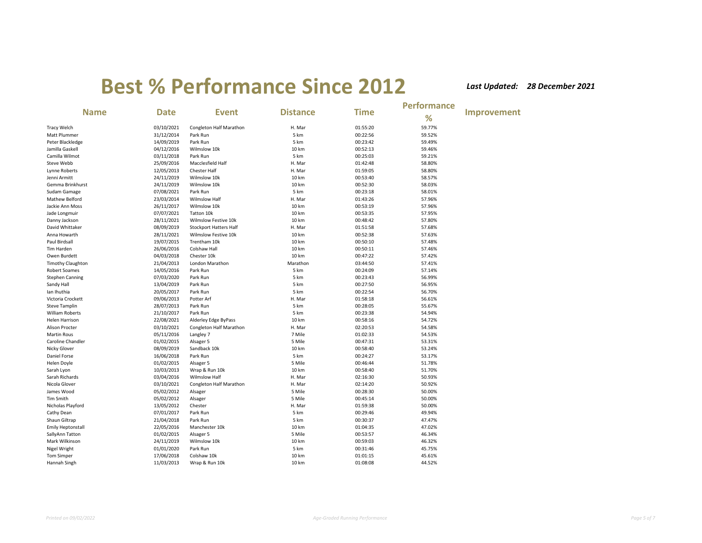|                          |             |                               |                 |             | <b>Performance</b> |             |
|--------------------------|-------------|-------------------------------|-----------------|-------------|--------------------|-------------|
| <b>Name</b>              | <b>Date</b> | <b>Event</b>                  | <b>Distance</b> | <b>Time</b> | %                  | Improvement |
| <b>Tracy Welch</b>       | 03/10/2021  | Congleton Half Marathon       | H. Mar          | 01:55:20    | 59.77%             |             |
| Matt Plummer             | 31/12/2014  | Park Run                      | 5 km            | 00:22:56    | 59.52%             |             |
| Peter Blackledge         | 14/09/2019  | Park Run                      | 5 km            | 00:23:42    | 59.49%             |             |
| Jamilla Gaskell          | 04/12/2016  | Wilmslow 10k                  | 10 km           | 00:52:13    | 59.46%             |             |
| Camilla Wilmot           | 03/11/2018  | Park Run                      | 5 km            | 00:25:03    | 59.21%             |             |
| Steve Webb               | 25/09/2016  | Macclesfield Half             | H. Mar          | 01:42:48    | 58.80%             |             |
| Lynne Roberts            | 12/05/2013  | Chester Half                  | H. Mar          | 01:59:05    | 58.80%             |             |
| Jenni Armitt             | 24/11/2019  | Wilmslow 10k                  | 10 km           | 00:53:40    | 58.57%             |             |
| Gemma Brinkhurst         | 24/11/2019  | Wilmslow 10k                  | 10 km           | 00:52:30    | 58.03%             |             |
| Sudam Gamage             | 07/08/2021  | Park Run                      | 5 km            | 00:23:18    | 58.01%             |             |
| Mathew Belford           | 23/03/2014  | <b>Wilmslow Half</b>          | H. Mar          | 01:43:26    | 57.96%             |             |
| Jackie Ann Moss          | 26/11/2017  | Wilmslow 10k                  | 10 km           | 00:53:19    | 57.96%             |             |
| Jade Longmuir            | 07/07/2021  | Tatton 10k                    | 10 km           | 00:53:35    | 57.95%             |             |
| Danny Jackson            | 28/11/2021  | Wilmslow Festive 10k          | 10 km           | 00:48:42    | 57.80%             |             |
| David Whittaker          | 08/09/2019  | <b>Stockport Hatters Half</b> | H. Mar          | 01:51:58    | 57.68%             |             |
| Anna Howarth             | 28/11/2021  | Wilmslow Festive 10k          | 10 km           | 00:52:38    | 57.63%             |             |
| Paul Birdsall            | 19/07/2015  | Trentham 10k                  | 10 km           | 00:50:10    | 57.48%             |             |
| Tim Harden               | 26/06/2016  | Colshaw Hall                  | 10 km           | 00:50:11    | 57.46%             |             |
| Owen Burdett             | 04/03/2018  | Chester 10k                   | 10 km           | 00:47:22    | 57.42%             |             |
| <b>Timothy Claughton</b> | 21/04/2013  | London Marathon               | Marathon        | 03:44:50    | 57.41%             |             |
| <b>Robert Soames</b>     | 14/05/2016  | Park Run                      | 5 km            | 00:24:09    | 57.14%             |             |
| <b>Stephen Canning</b>   | 07/03/2020  | Park Run                      | 5 km            | 00:23:43    | 56.99%             |             |
| Sandy Hall               | 13/04/2019  | Park Run                      | 5 km            | 00:27:50    | 56.95%             |             |
| Ian Ihuthia              | 20/05/2017  | Park Run                      | 5 km            | 00:22:54    | 56.70%             |             |
| Victoria Crockett        | 09/06/2013  | Potter Arf                    | H. Mar          | 01:58:18    | 56.61%             |             |
| <b>Steve Tamplin</b>     | 28/07/2013  | Park Run                      | 5 km            | 00:28:05    | 55.67%             |             |
| <b>William Roberts</b>   | 21/10/2017  | Park Run                      | 5 km            | 00:23:38    | 54.94%             |             |
| Helen Harrison           | 22/08/2021  | Alderley Edge ByPass          | 10 km           | 00:58:16    | 54.72%             |             |
| <b>Alison Procter</b>    | 03/10/2021  | Congleton Half Marathon       | H. Mar          | 02:20:53    | 54.58%             |             |
| <b>Martin Rous</b>       | 05/11/2016  | Langley 7                     | 7 Mile          | 01:02:33    | 54.53%             |             |
| Caroline Chandler        | 01/02/2015  | Alsager 5                     | 5 Mile          | 00:47:31    | 53.31%             |             |
| Nicky Glover             | 08/09/2019  | Sandback 10k                  | 10 km           | 00:58:40    | 53.24%             |             |
| Daniel Forse             | 16/06/2018  | Park Run                      | 5 km            | 00:24:27    | 53.17%             |             |
| <b>Helen Doyle</b>       | 01/02/2015  | Alsager 5                     | 5 Mile          | 00:46:44    | 51.78%             |             |
| Sarah Lyon               | 10/03/2013  | Wrap & Run 10k                | 10 km           | 00:58:40    | 51.70%             |             |
| Sarah Richards           | 03/04/2016  | <b>Wilmslow Half</b>          | H. Mar          | 02:16:30    | 50.93%             |             |
| Nicola Glover            | 03/10/2021  | Congleton Half Marathon       | H. Mar          | 02:14:20    | 50.92%             |             |
| James Wood               | 05/02/2012  | Alsager                       | 5 Mile          | 00:28:30    | 50.00%             |             |
| Tim Smith                | 05/02/2012  | Alsager                       | 5 Mile          | 00:45:14    | 50.00%             |             |
| Nicholas Playford        | 13/05/2012  | Chester                       | H. Mar          | 01:59:38    | 50.00%             |             |
| Cathy Dean               | 07/01/2017  | Park Run                      | 5 km            | 00:29:46    | 49.94%             |             |
| Shaun Giltrap            | 21/04/2018  | Park Run                      | 5 km            | 00:30:37    | 47.47%             |             |
| <b>Emily Heptonstall</b> | 22/05/2016  | Manchester 10k                | 10 km           | 01:04:35    | 47.02%             |             |
| SallyAnn Tatton          | 01/02/2015  | Alsager 5                     | 5 Mile          | 00:53:57    | 46.34%             |             |
| Mark Wilkinson           | 24/11/2019  | Wilmslow 10k                  | 10 km           | 00:59:03    | 46.32%             |             |
| Nigel Wright             | 01/01/2020  | Park Run                      | 5 km            | 00:31:46    | 45.75%             |             |
| <b>Tom Simper</b>        | 17/06/2018  | Colshaw 10k                   | 10 km           | 01:01:15    | 45.61%             |             |
| Hannah Singh             | 11/03/2013  | Wrap & Run 10k                | 10 km           | 01:08:08    | 44.52%             |             |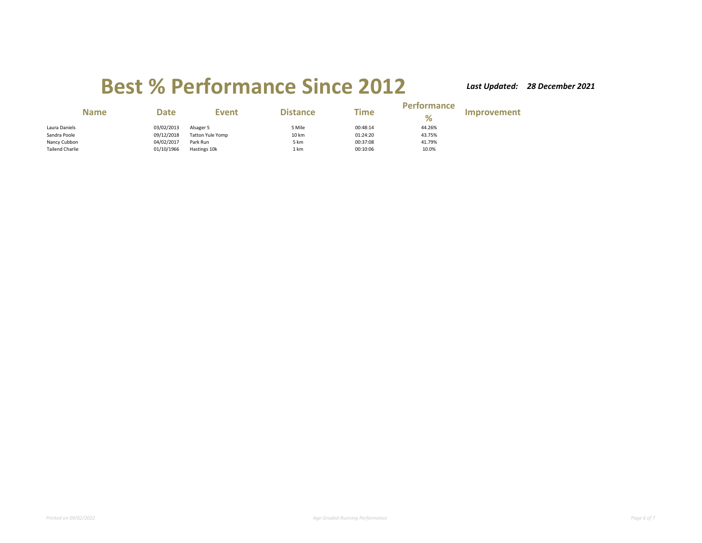| <b>Name</b>            | <b>Date</b> | Event                   | <b>Distance</b> | Time     | <b>Performance</b><br>% | Improvement |
|------------------------|-------------|-------------------------|-----------------|----------|-------------------------|-------------|
| Laura Daniels          | 03/02/2013  | Alsager 5               | 5 Mile          | 00:48:14 | 44.26%                  |             |
| Sandra Poole           | 09/12/2018  | <b>Tatton Yule Yomp</b> | 10 km           | 01:24:20 | 43.75%                  |             |
| Nancy Cubbon           | 04/02/2017  | Park Run                | 5 km            | 00:37:08 | 41.79%                  |             |
| <b>Tailend Charlie</b> | 01/10/1966  | Hastings 10k            | 1 km            | 00:10:06 | 10.0%                   |             |